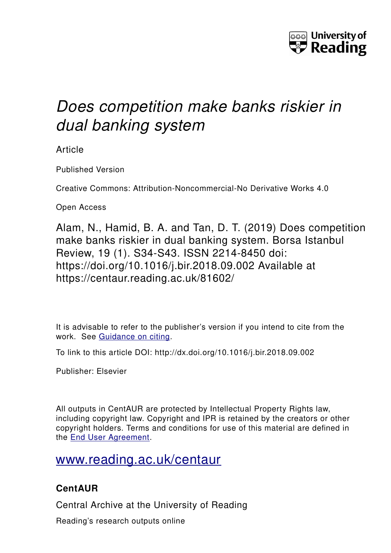

# *Does competition make banks riskier in dual banking system*

Article

Published Version

Creative Commons: Attribution-Noncommercial-No Derivative Works 4.0

Open Access

Alam, N., Hamid, B. A. and Tan, D. T. (2019) Does competition make banks riskier in dual banking system. Borsa Istanbul Review, 19 (1). S34-S43. ISSN 2214-8450 doi: https://doi.org/10.1016/j.bir.2018.09.002 Available at https://centaur.reading.ac.uk/81602/

It is advisable to refer to the publisher's version if you intend to cite from the work. See [Guidance on citing.](http://centaur.reading.ac.uk/71187/10/CentAUR%20citing%20guide.pdf)

To link to this article DOI: http://dx.doi.org/10.1016/j.bir.2018.09.002

Publisher: Elsevier

All outputs in CentAUR are protected by Intellectual Property Rights law, including copyright law. Copyright and IPR is retained by the creators or other copyright holders. Terms and conditions for use of this material are defined in the [End User Agreement.](http://centaur.reading.ac.uk/licence)

# [www.reading.ac.uk/centaur](http://www.reading.ac.uk/centaur)

### **CentAUR**

Central Archive at the University of Reading

Reading's research outputs online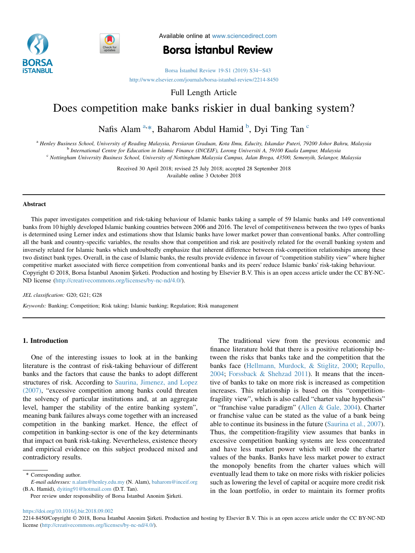



Available online at [www.sciencedirect.com](www.sciencedirect.com/science/journal/22148450)

## Borsa \_ Istanbul Review

[Borsa](https://doi.org/10.1016/j.bir.2018.09.002) İ[stanbul Review 19-S1 \(2019\) S34](https://doi.org/10.1016/j.bir.2018.09.002)-[S43](https://doi.org/10.1016/j.bir.2018.09.002) [http://www.elsevier.com/journals/borsa-istanbul-review/2214-8450](http://http://www.elsevier.com/journals/borsa-istanbul-review/2214-8450)

Full Length Article

### Does competition make banks riskier in dual banking system?

Nafis Alam<sup>a,\*</sup>, Baharom Abdul Hamid<sup>b</sup>, Dyi Ting Tan<sup>c</sup>

a Henley Business School, University of Reading Malaysia, Persiaran Graduan, Kota Ilmu, Educity, Iskandar Puteri, 79200 Johor Bahru, Malaysia <sup>b</sup> International Centre for Education in Islamic Finance (INCEIF), Lorong Universiti A, 59100 Kuala Lumpur, Malaysia <sup>c</sup> Nottingham University Business School, University of Nottingham Malaysia Campus, Jalan Broga, 43500, Semenyih, Selangor, Malaysia

> Received 30 April 2018; revised 25 July 2018; accepted 28 September 2018 Available online 3 October 2018

#### Abstract

This paper investigates competition and risk-taking behaviour of Islamic banks taking a sample of 59 Islamic banks and 149 conventional banks from 10 highly developed Islamic banking countries between 2006 and 2016. The level of competitiveness between the two types of banks is determined using Lerner index and estimations show that Islamic banks have lower market power than conventional banks. After controlling all the bank and country-specific variables, the results show that competition and risk are positively related for the overall banking system and an the bank and country-specific variables, the results show that competition and risk are positively related for the overall banking system and<br>inversely related for Islamic banks which undoubtedly emphasize that inherent competitive market associated with fierce competition from conventional banks and its peers' reduce Islamic banks' risk-taking behaviour. Copyright © 2018, Borsa Istanbul Anonim Şirketi. Production and hosting by Elsevier B.V. This is an open access article under the CC BY-NC-ND license ([http://creativecommons.org/licenses/by-nc-nd/4.0/\)](http://creativecommons.org/licenses/by-nc-nd/4.0/).

#### JEL classification: G20; G21; G28

Keywords: Banking; Competition; Risk taking; Islamic banking; Regulation; Risk management

#### 1. Introduction

One of the interesting issues to look at in the banking literature is the contrast of risk-taking behaviour of different banks and the factors that cause the banks to adopt different structures of risk. According to [Saurina, Jimenez, and Lopez](#page-10-0) banks and the factors that cause the banks to adopt different<br>structures of risk. According to Saurina, Jimenez, and Lopez<br>[\(2007\)](#page-10-0), "excessive competition among banks could threaten the solvency of particular institutions and, at an aggregate  $(2007)$ , excessive competition among banks could infeated<br>the solvency of particular institutions and, at an aggregate<br>level, hamper the stability of the entire banking system", meaning bank failures always come together with an increased competition in the banking market. Hence, the effect of competition in banking-sector is one of the key determinants that impact on bank risk-taking. Nevertheless, existence theory and empirical evidence on this subject produced mixed and contradictory results.

\* Corresponding author.

Peer review under responsibility of Borsa Istanbul Anonim Şirketi.

The traditional view from the previous economic and finance literature hold that there is a positive relationship between the risks that banks take and the competition that the banks face ([Hellmann, Murdock,](#page-9-0) & [Stiglitz, 2000](#page-9-0); [Repullo,](#page-10-0) [2004;](#page-10-0) [Forssback](#page-9-0) & [Shehzad 2011\)](#page-9-0). It means that the incentive of banks to take on more risk is increased as competition increases. This relationship is based on this "competitionfragility view", which is also called "charter value hypothesis"<br>fragility view", which is also called "charter value hypothesis" increases. This relationship is based on this competition-<br>fragility view", which is also called "charter value hypothesis"<br>or "franchise value paradigm" ([Allen](#page-9-0) & [Gale, 2004](#page-9-0)). Charter or franchise value can be stated as the value of a bank being able to continue its business in the future ([Saurina et al., 2007\)](#page-10-0). Thus, the competition-fragility view assumes that banks in excessive competition banking systems are less concentrated and have less market power which will erode the charter values of the banks. Banks have less market power to extract the monopoly benefits from the charter values which will eventually lead them to take on more risks with riskier policies such as lowering the level of capital or acquire more credit risk in the loan portfolio, in order to maintain its former profits

E-mail addresses: [n.alam@henley.edu.my](mailto:n.alam@henley.edu.my) (N. Alam), [baharom@inceif.org](mailto:baharom@inceif.org) (B.A. Hamid), [dyiting91@hotmail.com](mailto:dyiting91@hotmail.com) (D.T. Tan).

<https://doi.org/10.1016/j.bir.2018.09.002>

<sup>2214-8450/</sup>Copyright © 2018, Borsa İstanbul Anonim Şirketi. Production and hosting by Elsevier B.V. This is an open access article under the CC BY-NC-ND license [\(http://creativecommons.org/licenses/by-nc-nd/4.0/\)](http://creativecommons.org/licenses/by-nc-nd/4.0/).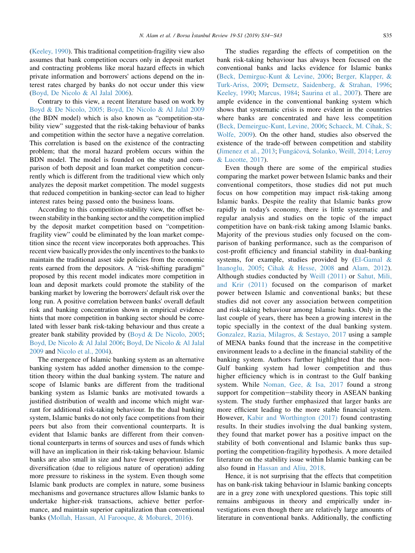([Keeley, 1990](#page-9-0)). This traditional competition-fragility view also assumes that bank competition occurs only in deposit market and contracting problems like moral hazard effects in which private information and borrowers' actions depend on the interest rates charged by banks do not occur under this view ([Boyd, De Nicolo](#page-9-0) & [Al Jalal 2006\)](#page-9-0).

Contrary to this view, a recent literature based on work by [Boyd](#page-9-0) & [De Nicolo, 2005; Boyd, De Nicolo](#page-9-0) & [Al Jalal 2009](#page-9-0) Contrary to this view, a recent interature based on work by<br>Boyd & De Nicolo, 2005; Boyd, De Nicolo & Al Jalal 2009<br>(the BDN model) which is also known as "competition-sta- $\frac{1}{2009}$  (the BDN model) which is also known as "competition-stability view" suggested that the risk-taking behaviour of banks and competition within the sector have a negative correlation. This correlation is based on the existence of the contracting problem; that the moral hazard problem occurs within the BDN model. The model is founded on the study and comparison of both deposit and loan market competition concurrently which is different from the traditional view which only analyzes the deposit market competition. The model suggests that reduced competition in banking-sector can lead to higher interest rates being passed onto the business loans.

According to this competition-stability view, the offset between stability in the banking sector and the competition implied According to this competition-stability view, the offset be-<br>tween stability in the banking sector and the competition implied<br>by the deposit market competition-based on "competitionby the deposit market competition based on "competition-<br>fragility view" could be eliminated by the loan market competition since the recent view incorporates both approaches. This recent view basically provides the only incentives to the banks to maintain the traditional asset side policies from the economic rents earned from the depositors. A "risk-shifting paradigm" proposed by this recent model indicates more competition in loan and deposit markets could promote the stability of the banking market by lowering the borrowers' default risk over the long run. A positive correlation between banks' overall default risk and banking concentration shown in empirical evidence hints that more competition in banking sector should be correlated with lesser bank risk-taking behaviour and thus create a greater bank stability provided by ([Boyd](#page-9-0) & [De Nicolo, 2005;](#page-9-0) [Boyd, De Nicolo](#page-9-0) & [Al Jalal 2006;](#page-9-0) [Boyd, De Nicolo](#page-9-0) & [Al Jalal](#page-9-0) [2009](#page-9-0) and [Nicolo et al., 2004](#page-10-0)).

The emergence of Islamic banking system as an alternative banking system has added another dimension to the competition theory within the dual banking system. The nature and scope of Islamic banks are different from the traditional banking system as Islamic banks are motivated towards a justified distribution of wealth and income which might warrant for additional risk-taking behaviour. In the dual banking system, Islamic banks do not only face competitions from their peers but also from their conventional counterparts. It is evident that Islamic banks are different from their conventional counterparts in terms of sources and uses of funds which will have an implication in their risk-taking behaviour. Islamic banks are also small in size and have fewer opportunities for diversification (due to religious nature of operation) adding more pressure to riskiness in the system. Even though some Islamic bank products are complex in nature, some business mechanisms and governance structures allow Islamic banks to undertake higher-risk transactions, achieve better performance, and maintain superior capitalization than conventional banks [\(Mollah, Hassan, Al Farooque,](#page-10-0) & [Mobarek, 2016](#page-10-0)).

The studies regarding the effects of competition on the bank risk-taking behaviour has always been focused on the conventional banks and lacks evidence for Islamic banks ([Beck, Demirguc-Kunt](#page-9-0) & [Levine, 2006;](#page-9-0) [Berger, Klapper,](#page-9-0) & [Turk-Ariss, 2009;](#page-9-0) [Demsetz, Saidenberg,](#page-9-0) & [Strahan, 1996;](#page-9-0) [Keeley, 1990;](#page-9-0) [Marcus, 1984](#page-10-0); [Saurina et al., 2007](#page-10-0)). There are ample evidence in the conventional banking system which shows that systematic crisis is more evident in the countries where banks are concentrated and have less competition ([Beck, Demeirguc-Kunt, Levine, 2006;](#page-9-0) [Schaeck, M. Cihak, S;](#page-10-0) [Wolfe, 2009\)](#page-10-0). On the other hand, studies also observed the existence of the trade-off between competition and stability ([Jimenez et al., 2013](#page-9-0); [Fung](#page-9-0)áč[ov](#page-9-0)á, Solanko, Weill, 2014; Leroy & [Lucotte, 2017\)](#page-9-0).

Even though there are some of the empirical studies comparing the market power between Islamic banks and their conventional competitors, those studies did not put much focus on how competition may impact risk-taking among Islamic banks. Despite the reality that Islamic banks grow rapidly in today's economy, there is little systematic and regular analysis and studies on the topic of the impact competition have on bank-risk taking among Islamic banks. Majority of the previous studies only focused on the comparison of banking performance, such as the comparison of cost-profit efficiency and financial stability in dual-banking systems, for example, studies provided by [\(El-Gamal](#page-9-0) & [Inanoglu, 2005](#page-9-0); [Cihak](#page-9-0) & [Hesse, 2008](#page-9-0) and [Alam, 2012\)](#page-9-0). Although studies conducted by [Weill \(2011\)](#page-10-0) or [Sahut, Mili,](#page-10-0) [and Krir \(2011\)](#page-10-0) focused on the comparison of market power between Islamic and conventional banks; but these studies did not cover any association between competition and risk-taking behaviour among Islamic banks. Only in the last couple of years, there has been a growing interest in the topic specially in the context of the dual banking system. [Gonzalez, Razia, Milagros,](#page-9-0) & [Sestayo, 2017](#page-9-0) using a sample of MENA banks found that the increase in the competitive environment leads to a decline in the financial stability of the banking system. Authors further highlighted that the non-Gulf banking system had lower competition and thus higher efficiency which is in contrast to the Gulf banking system. While [Noman, Gee,](#page-10-0) & [Isa, 2017](#page-10-0) found a strong support for competition-stability theory in ASEAN banking system. The study further emphasized that larger banks are more efficient leading to the more stable financial system. However, [Kabir and Worthington \(2017\)](#page-9-0) found contrasting results. In their studies involving the dual banking system, they found that market power has a positive impact on the stability of both conventional and Islamic banks thus supporting the competition-fragility hypothesis. A more detailed literature on the stability issue within Islamic banking can be also found in [Hassan and Aliu, 2018.](#page-9-0)

Hence, it is not surprising that the effects that competition has on bank-risk taking behaviour in Islamic banking concepts are in a grey zone with unexplored questions. This topic still remains ambiguous in theory and empirically under investigations even though there are relatively large amounts of literature in conventional banks. Additionally, the conflicting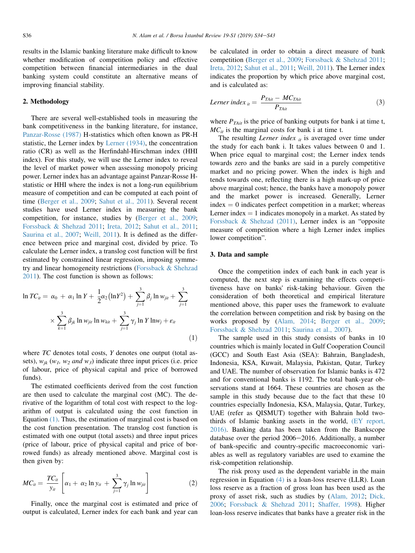<span id="page-3-0"></span>results in the Islamic banking literature make difficult to know whether modification of competition policy and effective competition between financial intermediaries in the dual banking system could constitute an alternative means of improving financial stability.

#### 2. Methodology

There are several well-established tools in measuring the bank competitiveness in the banking literature, for instance, [Panzar-Rosse \(1987\)](#page-10-0) H-statistics which often known as PR-H statistic, the Lerner index by [Lerner \(1934\)](#page-9-0), the concentration ratio (CR) as well as the Herfindahl-Hirschman index (HHI index). For this study, we will use the Lerner index to reveal the level of market power when assessing monopoly pricing power. Lerner index has an advantage against Panzar-Rosse Hstatistic or HHI where the index is not a long-run equilibrium measure of competition and can be computed at each point of time ([Berger et al., 2009;](#page-9-0) [Sahut et al., 2011](#page-10-0)). Several recent studies have used Lerner index in measuring the bank competition, for instance, studies by [\(Berger et al., 2009;](#page-9-0) [Forssback](#page-9-0) & [Shehzad 2011](#page-9-0); [Ireta, 2012](#page-9-0); [Sahut et al., 2011;](#page-10-0) [Saurina et al., 2007;](#page-10-0) [Weill, 2011\)](#page-10-0). It is defined as the difference between price and marginal cost, divided by price. To calculate the Lerner index, a translog cost function will be first estimated by constrained linear regression, imposing symmetry and linear homogeneity restrictions ([Forssback](#page-9-0) & [Shehzad](#page-9-0) [2011\)](#page-9-0). The cost function is shown as follows:

$$
\ln TC_{it} = \alpha_0 + \alpha_1 \ln Y + \frac{1}{2} \alpha_2 (\ln Y^2) + \sum_{j=1}^3 \beta_j \ln w_{jit} + \sum_{j=1}^3 \times \sum_{k=1}^3 \beta_{jk} \ln w_{jit} \ln w_{kit} + \sum_{j=1}^3 \gamma_j \ln Y \ln w_j + \epsilon_{it}
$$
\n(1)

where TC denotes total costs, Y denotes one output (total assets),  $w_{ik}$  (w<sub>1</sub>, w<sub>2</sub> and w<sub>3</sub>) indicate three input prices (i.e. price of labour, price of physical capital and price of borrowed funds).

The estimated coefficients derived from the cost function are then used to calculate the marginal cost (MC). The derivative of the logarithm of total cost with respect to the logarithm of output is calculated using the cost function in Equation (1). Thus, the estimation of marginal cost is based on the cost function presentation. The translog cost function is estimated with one output (total assets) and three input prices (price of labour, price of physical capital and price of borrowed funds) as already mentioned above. Marginal cost is then given by:

$$
MC_{it} = \frac{TC_{it}}{y_{it}} \left[ \alpha_1 + \alpha_2 \ln y_{it} + \sum_{j=1}^3 \gamma_j \ln w_{jit} \right]
$$
 (2)

Finally, once the marginal cost is estimated and price of output is calculated, Lerner index for each bank and year can

be calculated in order to obtain a direct measure of bank competition [\(Berger et al., 2009](#page-9-0); [Forssback](#page-9-0) & [Shehzad 2011;](#page-9-0) [Ireta, 2012](#page-9-0); [Sahut et al., 2011;](#page-10-0) [Weill, 2011](#page-10-0)). The Lerner index indicates the proportion by which price above marginal cost, and is calculated as:

$$
Lerner index_{it} = \frac{P_{TAit} - MC_{TAit}}{P_{TAit}} \tag{3}
$$

where  $P_{T A i t}$  is the price of banking outputs for bank i at time t,  $MC_{it}$  is the marginal costs for bank i at time t.

The resulting Lerner index  $_{it}$  is averaged over time under the study for each bank i. It takes values between 0 and 1. When price equal to marginal cost; the Lerner index tends towards zero and the banks are said in a purely competitive market and no pricing power. When the index is high and tends towards one, reflecting there is a high mark-up of price above marginal cost; hence, the banks have a monopoly power and the market power is increased. Generally, Lerner  $index = 0$  indicates perfect competition in a market; whereas Lerner index  $= 1$  indicates monopoly in a market. As stated by Formulated by married the specific competition in a market, whereas<br>Lerner index = 1 indicates monopoly in a market. As stated by<br>[Forssback](#page-9-0) & [Shehzad \(2011\)](#page-9-0), Lerner index is an "opposite measure of competition where a high Lerner index implies **POISSORCK & SHEILY**<br>measure of competition".

#### 3. Data and sample

Once the competition index of each bank in each year is computed, the next step is examining the effects competitiveness have on banks' risk-taking behaviour. Given the consideration of both theoretical and empirical literature mentioned above, this paper uses the framework to evaluate the correlation between competition and risk by basing on the works proposed by [\(Alam, 2014;](#page-9-0) [Berger et al., 2009;](#page-9-0) [Forssback](#page-9-0) & [Shehzad 2011;](#page-9-0) [Saurina et al., 2007\)](#page-10-0).

The sample used in this study consists of banks in 10 countries which is mainly located in Gulf Cooperation Council (GCC) and South East Asia (SEA): Bahrain, Bangladesh, Indonesia, KSA, Kuwait, Malaysia, Pakistan, Qatar, Turkey and UAE. The number of observation for Islamic banks is 472 and for conventional banks is 1192. The total bank-year observations stand at 1664. These countries are chosen as the sample in this study because due to the fact that these 10 countries especially Indonesia, KSA, Malaysia, Qatar, Turkey, UAE (refer as QISMUT) together with Bahrain hold twothirds of Islamic banking assets in the world, [\(EY report,](#page-9-0) [2016\).](#page-9-0) Banking data has been taken from the Bankscope database over the period  $2006-2016$ . Additionally, a number of bank-specific and country-specific macroeconomic variables as well as regulatory variables are used to examine the risk-competition relationship.

The risk proxy used as the dependent variable in the main regression in Equation [\(4\)](#page-4-0) is a loan-loss reserve (LLR). Loan loss reserve as a fraction of gross loan has been used as the proxy of asset risk, such as studies by [\(Alam, 2012](#page-9-0); [Dick,](#page-9-0) [2006;](#page-9-0) [Forssback](#page-9-0) & [Shehzad 2011](#page-9-0); [Shaffer, 1998\)](#page-10-0). Higher loan-loss reserve indicates that banks have a greater risk in the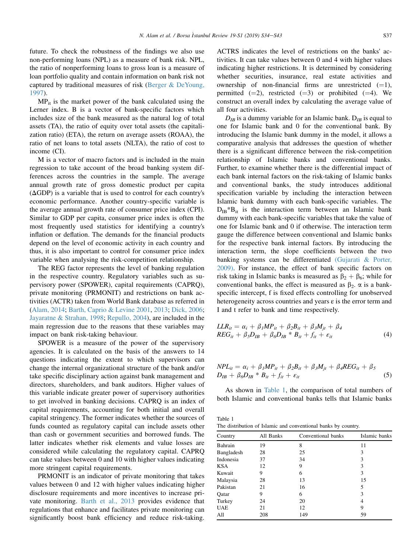<span id="page-4-0"></span>future. To check the robustness of the findings we also use non-performing loans (NPL) as a measure of bank risk. NPL, the ratio of nonperforming loans to gross loan is a measure of loan portfolio quality and contain information on bank risk not captured by traditional measures of risk ([Berger](#page-9-0) & [DeYoung,](#page-9-0) [1997](#page-9-0)).

 $MP_{it}$  is the market power of the bank calculated using the Lerner index. B is a vector of bank-specific factors which includes size of the bank measured as the natural log of total assets (TA), the ratio of equity over total assets (the capitalization ratio) (ETA), the return on average assets (ROAA), the ratio of net loans to total assets (NLTA), the ratio of cost to income (CI).

M is a vector of macro factors and is included in the main regression to take account of the broad banking system differences across the countries in the sample. The average annual growth rate of gross domestic product per capita  $(\Delta GDP)$  is a variable that is used to control for each country's economic performance. Another country-specific variable is the average annual growth rate of consumer price index (CPI). Similar to GDP per capita, consumer price index is often the most frequently used statistics for identifying a country's inflation or deflation. The demands for the financial products depend on the level of economic activity in each country and thus, it is also important to control for consumer price index variable when analysing the risk-competition relationship.

The REG factor represents the level of banking regulation in the respective country. Regulatory variables such as supervisory power (SPOWER), capital requirements (CAPRQ), private monitoring (PRMONIT) and restrictions on bank activities (ACTR) taken from World Bank database as referred in ([Alam, 2014](#page-9-0); [Barth, Caprio](#page-9-0) & [Levine 2001,](#page-9-0) [2013;](#page-9-0) [Dick, 2006;](#page-9-0) [Jayaratne](#page-9-0) & [Strahan, 1998;](#page-9-0) [Repullo, 2004\)](#page-10-0), are included in the main regression due to the reasons that these variables may impact on bank risk-taking behaviour.

SPOWER is a measure of the power of the supervisory agencies. It is calculated on the basis of the answers to 14 questions indicating the extent to which supervisors can change the internal organizational structure of the bank and/or take specific disciplinary action against bank management and directors, shareholders, and bank auditors. Higher values of this variable indicate greater power of supervisory authorities to get involved in banking decisions. CAPRQ is an index of capital requirements, accounting for both initial and overall capital stringency. The former indicates whether the sources of funds counted as regulatory capital can include assets other than cash or government securities and borrowed funds. The latter indicates whether risk elements and value losses are considered while calculating the regulatory capital. CAPRQ can take values between 0 and 10 with higher values indicating more stringent capital requirements.

PRMONIT is an indicator of private monitoring that takes values between 0 and 12 with higher values indicating higher disclosure requirements and more incentives to increase private monitoring. [Barth et al., 2013](#page-9-0) provides evidence that regulations that enhance and facilitates private monitoring can significantly boost bank efficiency and reduce risk-taking.

ACTRS indicates the level of restrictions on the banks' activities. It can take values between 0 and 4 with higher values indicating higher restrictions. It is determined by considering whether securities, insurance, real estate activities and ownership of non-financial firms are unrestricted  $(=1)$ , permitted  $(=2)$ , restricted  $(=3)$  or prohibited  $(=4)$ . We construct an overall index by calculating the average value of all four activities.

 $D_{IB}$  is a dummy variable for an Islamic bank.  $D_{IB}$  is equal to one for Islamic bank and 0 for the conventional bank. By introducing the Islamic bank dummy in the model, it allows a comparative analysis that addresses the question of whether there is a significant difference between the risk-competition relationship of Islamic banks and conventional banks. Further, to examine whether there is the differential impact of each bank internal factors on the risk-taking of Islamic banks and conventional banks, the study introduces additional specification variable by including the interaction between Islamic bank dummy with each bank-specific variables. The  $D_{IB} * B_{it}$  is the interaction term between an Islamic bank dummy with each bank-specific variables that take the value of one for Islamic bank and 0 if otherwise. The interaction term gauge the difference between conventional and Islamic banks for the respective bank internal factors. By introducing the interaction term, the slope coefficients between the two banking systems can be differentiated [\(Gujarati](#page-9-0) & [Porter,](#page-9-0) [2009\).](#page-9-0) For instance, the effect of bank specific factors on risk taking in Islamic banks is measured as  $\beta_2 + \beta_6$ ; while for conventional banks, the effect is measured as  $\beta_2$ .  $\alpha$  is a bankspecific intercept, f is fixed effects controlling for unobserved heterogeneity across countries and years  $\varepsilon$  is the error term and I and t refer to bank and time respectively.

$$
LLR_{it} = \alpha_i + \beta_I MP_{it} + \beta_2 B_{it} + \beta_3 M_{jt} + \beta_4
$$
  
 
$$
REG_{it} + \beta_5 D_{IB} + \beta_6 D_{IB} * B_{it} + f_{it} + \varepsilon_{it}
$$
 (4)

$$
NPL_{it} = \alpha_i + \beta_l MP_{it} + \beta_2 B_{it} + \beta_3 M_{jt} + \beta_4 REG_{it} + \beta_5
$$
  
\n
$$
D_{IB} + \beta_6 D_{IB} * B_{it} + f_{it} + \varepsilon_{it}
$$
\n(5)

As shown in Table 1, the comparison of total numbers of both Islamic and conventional banks tells that Islamic banks

| Table 1                                                        |  |  |
|----------------------------------------------------------------|--|--|
| The distribution of Islamic and conventional banks by country. |  |  |

| Country    | All Banks | Conventional banks | Islamic banks |
|------------|-----------|--------------------|---------------|
| Bahrain    | 19        | 8                  | 11            |
| Bangladesh | 28        | 25                 | 3             |
| Indonesia  | 37        | 34                 | 3             |
| <b>KSA</b> | 12        | 9                  | 3             |
| Kuwait     | 9         | 6                  | 3             |
| Malaysia   | 28        | 13                 | 15            |
| Pakistan   | 21        | 16                 | 5             |
| Qatar      | 9         | 6                  | 3             |
| Turkey     | 24        | 20                 | 4             |
| <b>UAE</b> | 21        | 12                 | 9             |
| All        | 208       | 149                | 59            |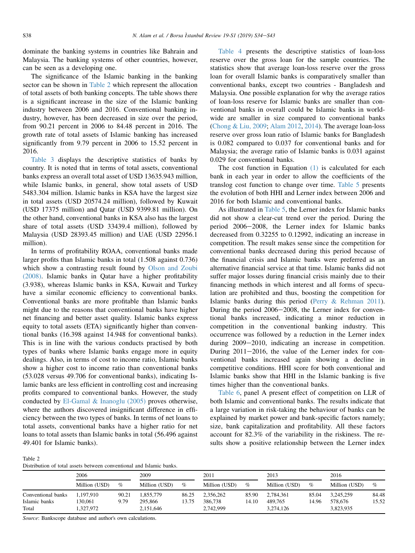dominate the banking systems in countries like Bahrain and Malaysia. The banking systems of other countries, however, can be seen as a developing one.

The significance of the Islamic banking in the banking sector can be shown in Table 2 which represent the allocation of total assets of both banking concepts. The table shows there is a significant increase in the size of the Islamic banking industry between 2006 and 2016. Conventional banking industry, however, has been decreased in size over the period, from 90.21 percent in 2006 to 84.48 percent in 2016. The growth rate of total assets of Islamic banking has increased significantly from 9.79 percent in 2006 to 15.52 percent in 2016.

[Table 3](#page-6-0) displays the descriptive statistics of banks by country. It is noted that in terms of total assets, conventional banks express an overall total asset of USD 13635.943 million, while Islamic banks, in general, show total assets of USD 5483.304 million. Islamic banks in KSA have the largest size in total assets (USD 20574.24 million), followed by Kuwait (USD 17375 million) and Qatar (USD 9399.81 million). On the other hand, conventional banks in KSA also has the largest share of total assets (USD 33439.4 million), followed by Malaysia (USD 28393.45 million) and UAE (USD 22956.1 million).

In terms of profitability ROAA, conventional banks made larger profits than Islamic banks in total (1.508 against 0.736) which show a contrasting result found by [Olson and Zoubi](#page-10-0) [\(2008\)](#page-10-0). Islamic banks in Qatar have a higher profitability (3.938), whereas Islamic banks in KSA, Kuwait and Turkey have a similar economic efficiency to conventional banks. Conventional banks are more profitable than Islamic banks might due to the reasons that conventional banks have higher net financing and better asset quality. Islamic banks express equity to total assets (ETA) significantly higher than conventional banks (16.398 against 14.948 for conventional banks). This is in line with the various conducts practised by both types of banks where Islamic banks engage more in equity dealings. Also, in terms of cost to income ratio, Islamic banks show a higher cost to income ratio than conventional banks (53.028 versus 49.706 for conventional banks), indicating Islamic banks are less efficient in controlling cost and increasing profits compared to conventional banks. However, the study conducted by [El-Gamal](#page-9-0) & [Inanoglu \(2005\)](#page-9-0) proves otherwise, where the authors discovered insignificant difference in efficiency between the two types of banks. In terms of net loans to total assets, conventional banks have a higher ratio for net loans to total assets than Islamic banks in total (56.496 against 49.401 for Islamic banks).

[Table 4](#page-6-0) presents the descriptive statistics of loan-loss reserve over the gross loan for the sample countries. The statistics show that average loan-loss reserve over the gross loan for overall Islamic banks is comparatively smaller than conventional banks, except two countries - Bangladesh and Malaysia. One possible explanation for why the average ratios of loan-loss reserve for Islamic banks are smaller than conventional banks in overall could be Islamic banks in worldwide are smaller in size compared to conventional banks [\(Chong](#page-9-0) & [Liu, 2009;](#page-9-0) [Alam 2012](#page-9-0), [2014](#page-9-0)). The average loan-loss reserve over gross loan ratio of Islamic banks for Bangladesh is 0.082 compared to 0.037 for conventional banks and for Malaysia; the average ratio of Islamic banks is 0.031 against 0.029 for conventional banks.

The cost function in Equation  $(1)$  is calculated for each bank in each year in order to allow the coefficients of the translog cost function to change over time. [Table 5](#page-6-0) presents the evolution of both HHI and Lerner index between 2006 and 2016 for both Islamic and conventional banks.

As illustrated in [Table 5,](#page-6-0) the Lerner index for Islamic banks did not show a clear-cut trend over the period. During the period  $2006-2008$ , the Lerner index for Islamic banks decreased from 0.32255 to 0.12992, indicating an increase in competition. The result makes sense since the competition for conventional banks decreased during this period because of the financial crisis and Islamic banks were preferred as an alternative financial service at that time. Islamic banks did not suffer major losses during financial crisis mainly due to their financing methods in which interest and all forms of speculation are prohibited and thus, boosting the competition for Islamic banks during this period [\(Perry](#page-10-0) & [Rehman 2011\)](#page-10-0). During the period 2006–2008, the Lerner index for conventional banks increased, indicating a minor reduction in competition in the conventional banking industry. This occurrence was followed by a reduction in the Lerner index during  $2009-2010$ , indicating an increase in competition. During  $2011-2016$ , the value of the Lerner index for conventional banks increased again showing a decline in competitive conditions. HHI score for both conventional and Islamic banks show that HHI in the Islamic banking is five times higher than the conventional banks.

[Table 6](#page-7-0), panel A present effect of competition on LLR of both Islamic and conventional banks. The results indicate that a large variation in risk-taking the behaviour of banks can be explained by market power and bank-specific factors namely; size, bank capitalization and profitability. All these factors account for 82.3% of the variability in the riskiness. The results show a positive relationship between the Lerner index

Table 2

|  | Distribution of total assets between conventional and Islamic banks. |
|--|----------------------------------------------------------------------|
|--|----------------------------------------------------------------------|

|                    | 2006          |       | 2009          |       | 2011          |       | 2013          |       | 2016          |       |
|--------------------|---------------|-------|---------------|-------|---------------|-------|---------------|-------|---------------|-------|
|                    | Million (USD) | $\%$  | Million (USD) | $\%$  | Million (USD) | $\%$  | Million (USD) | $\%$  | Million (USD) | $\%$  |
| Conventional banks | 1.197.910     | 90.21 | .855,779      | 86.25 | 2,356,262     | 85.90 | 2.784.361     | 85.04 | 3.245.259     | 84.48 |
| Islamic banks      | 130.061       | 9.79  | 295,866       | 13.75 | 386,738       | 14.10 | 489,765       | 14.96 | 578,676       | 15.52 |
| Total              | 1.327.972     |       | 2,151,646     |       | 2.742.999     |       | 3,274,126     |       | 3,823,935     |       |

Source: Bankscope database and author's own calculations.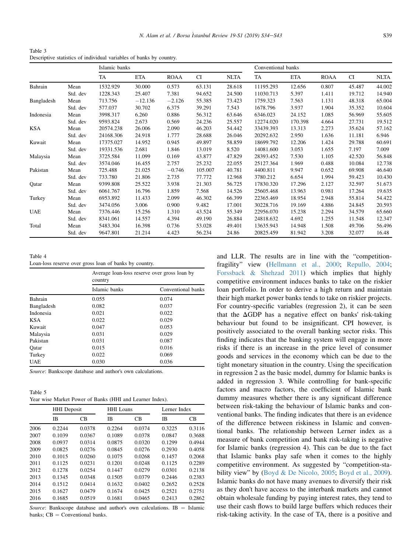<span id="page-6-0"></span>Table 3 Descriptive statistics of individual variables of banks by country.

|            |          | Islamic banks |            |             | Conventional banks |             |           |            |             |           |        |
|------------|----------|---------------|------------|-------------|--------------------|-------------|-----------|------------|-------------|-----------|--------|
|            |          | TA            | <b>ETA</b> | <b>ROAA</b> | CI                 | <b>NLTA</b> | TA        | <b>ETA</b> | <b>ROAA</b> | <b>CI</b> | NLTA   |
| Bahrain    | Mean     | 1532.929      | 30.000     | 0.573       | 63.131             | 28.618      | 11195.293 | 12.656     | 0.807       | 45.487    | 44.002 |
|            | Std. dev | 1228.343      | 25.407     | 7.381       | 94.652             | 24.500      | 11030.713 | 5.397      | 1.411       | 19.712    | 14.940 |
| Bangladesh | Mean     | 713.756       | $-12.136$  | $-2.126$    | 55.385             | 73.423      | 1759.323  | 7.563      | 1.131       | 48.318    | 65.004 |
|            | Std. dev | 577.037       | 30.702     | 6.375       | 39.291             | 7.543       | 1678.796  | 3.937      | 1.904       | 35.352    | 10.604 |
| Indonesia  | Mean     | 3998.317      | 6.260      | 0.886       | 56.312             | 63.646      | 6346.023  | 24.152     | 1.085       | 56.969    | 55.605 |
|            | Std. dev | 9593.824      | 2.673      | 0.569       | 24.236             | 25.557      | 12274.020 | 170.398    | 4.664       | 27.731    | 19.512 |
| <b>KSA</b> | Mean     | 20574.238     | 26.006     | 2.090       | 46.203             | 54.442      | 33439.393 | 13.313     | 2.273       | 35.624    | 57.162 |
|            | Std. dev | 24168.306     | 24.918     | 1.777       | 28.688             | 26.046      | 20292.632 | 2.950      | 1.636       | 11.181    | 6.946  |
| Kuwait     | Mean     | 17375.027     | 14.952     | 0.945       | 49.897             | 58.859      | 18699.792 | 12.206     | 1.424       | 29.788    | 60.691 |
|            | Std. dev | 19331.536     | 2.681      | 1.846       | 13.019             | 8.520       | 14081.600 | 3.053      | 1.655       | 7.197     | 7.009  |
| Malaysia   | Mean     | 3725.584      | 11.099     | 0.169       | 43.877             | 47.829      | 28393.452 | 7.530      | 1.105       | 42.520    | 56.848 |
|            | Std. dev | 3574.046      | 16.455     | 2.757       | 25.232             | 22.055      | 25127.364 | 1.969      | 0.488       | 10.084    | 12.738 |
| Pakistan   | Mean     | 725.488       | 21.025     | $-0.746$    | 105.007            | 40.781      | 4400.811  | 9.947      | 0.652       | 69.908    | 46.640 |
|            | Std. dev | 733.780       | 21.806     | 2.735       | 77.772             | 12.968      | 3780.212  | 6.654      | 1.994       | 59.423    | 10.430 |
| Qatar      | Mean     | 9399.808      | 25.522     | 3.938       | 21.303             | 56.725      | 17830.320 | 17.296     | 2.127       | 32.597    | 51.673 |
|            | Std. dev | 6061.767      | 16.796     | 1.859       | 7.568              | 14.526      | 25605.468 | 13.963     | 0.981       | 17.264    | 19.635 |
| Turkey     | Mean     | 6953.892      | 11.433     | 2.099       | 46.302             | 66.399      | 22365.469 | 18.954     | 2.948       | 55.814    | 54.422 |
|            | Std. dev | 3474.056      | 3.006      | 0.900       | 9.482              | 17.001      | 30228.716 | 19.169     | 4.886       | 24.845    | 20.593 |
| <b>UAE</b> | Mean     | 7376.446      | 15.256     | 1.310       | 43.524             | 55.349      | 22956.070 | 15.238     | 2.294       | 34.579    | 65.660 |
|            | Std. dev | 8341.061      | 14.557     | 4.394       | 49.190             | 26.884      | 24818.632 | 4.692      | 1.255       | 11.548    | 12.347 |
| Total      | Mean     | 5483.304      | 16.398     | 0.736       | 53.028             | 49.401      | 13635.943 | 14.948     | 1.508       | 49.706    | 56.496 |
|            | Std. dev | 9647.801      | 21.214     | 4.423       | 56.234             | 24.86       | 20825.459 | 81.942     | 3.208       | 32.077    | 16.48  |

Table 4

| Loan-loss reserve over gross loan of banks by country. |  |  |  |
|--------------------------------------------------------|--|--|--|
|--------------------------------------------------------|--|--|--|

|            | Average loan-loss reserve over gross loan by<br>country |                    |  |
|------------|---------------------------------------------------------|--------------------|--|
|            | Islamic banks                                           | Conventional banks |  |
| Bahrain    | 0.055                                                   | 0.074              |  |
| Bangladesh | 0.082                                                   | 0.037              |  |
| Indonesia  | 0.021                                                   | 0.022              |  |
| <b>KSA</b> | 0.022                                                   | 0.029              |  |
| Kuwait     | 0.047                                                   | 0.053              |  |
| Malaysia   | 0.031                                                   | 0.029              |  |
| Pakistan   | 0.031                                                   | 0.087              |  |
| Oatar      | 0.015                                                   | 0.016              |  |
| Turkey     | 0.022                                                   | 0.069              |  |
| <b>UAE</b> | 0.030                                                   | 0.036              |  |

Source: Bankscope database and author's own calculations.

Table 5 Year wise Market Power of Banks (HHI and Learner Index).

|      | <b>HHI</b> Deposit |        | <b>HHI</b> Loans |        |           | Lerner Index |  |
|------|--------------------|--------|------------------|--------|-----------|--------------|--|
|      | <b>IB</b>          | CB     | IB               | CB     | <b>IB</b> | CB           |  |
| 2006 | 0.2244             | 0.0378 | 0.2264           | 0.0374 | 0.3225    | 0.3116       |  |
| 2007 | 0.1039             | 0.0367 | 0.1089           | 0.0378 | 0.0847    | 0.3688       |  |
| 2008 | 0.0937             | 0.0314 | 0.0875           | 0.0320 | 0.1299    | 0.4944       |  |
| 2009 | 0.0825             | 0.0276 | 0.0845           | 0.0276 | 0.2930    | 0.4058       |  |
| 2010 | 0.1015             | 0.0260 | 0.1075           | 0.0268 | 0.1457    | 0.2068       |  |
| 2011 | 0.1125             | 0.0231 | 0.1201           | 0.0248 | 0.1125    | 0.2289       |  |
| 2012 | 0.1278             | 0.0254 | 0.1447           | 0.0279 | 0.0301    | 0.2138       |  |
| 2013 | 0.1345             | 0.0348 | 0.1505           | 0.0379 | 0.2446    | 0.2383       |  |
| 2014 | 0.1512             | 0.0414 | 0.1632           | 0.0402 | 0.2652    | 0.2528       |  |
| 2015 | 0.1627             | 0.0479 | 0.1674           | 0.0425 | 0.2521    | 0.2751       |  |
| 2016 | 0.1685             | 0.0519 | 0.1681           | 0.0465 | 0.2413    | 0.2862       |  |

Source: Bankscope database and author's own calculations. IB = Islamic banks;  $CB = Conventional$  banks.

and LLR. The results are in line with the "competitionfragility" view ([Hellmann et al., 2000;](#page-9-0) [Repullo, 2004;](#page-10-0) [Forssback](#page-9-0) & [Shehzad 2011](#page-9-0)) which implies that highly competitive environment induces banks to take on the riskier loan portfolio. In order to derive a high return and maintain their high market power banks tends to take on riskier projects. For country-specific variables (regression 2), it can be seen that the  $\Delta GDP$  has a negative effect on banks' risk-taking behaviour but found to be insignificant. CPI however, is positively associated to the overall banking sector risks. This finding indicates that the banking system will engage in more risks if there is an increase in the price level of consumer goods and services in the economy which can be due to the tight monetary situation in the country. Using the specification in regression 2 as the basic model, dummy for Islamic banks is added in regression 3. While controlling for bank-specific factors and macro factors, the coefficient of Islamic bank dummy measures whether there is any significant difference between risk-taking the behaviour of Islamic banks and conventional banks. The finding indicates that there is an evidence of the difference between riskiness in Islamic and conventional banks. The relationship between Lerner index as a measure of bank competition and bank risk-taking is negative for Islamic banks (regression 4). This can be due to the fact that Islamic banks play safe when it comes to the highly for islamic banks (regression 4). This can be due to the fact<br>that Islamic banks play safe when it comes to the highly<br>competitive environment. As suggested by "competition-sta-that Islamic banks play safe when it comes to the highly<br>competitive environment. As suggested by "competition-sta-<br>bility view" by [\(Boyd](#page-9-0) & [De Nicolo, 2005;](#page-9-0) [Boyd et al., 2009\)](#page-9-0). Islamic banks do not have many avenues to diversify their risk as they don't have access to the interbank markets and cannot obtain wholesale funding by paying interest rates, they tend to use their cash flows to build large buffers which reduces their risk-taking activity. In the case of TA, there is a positive and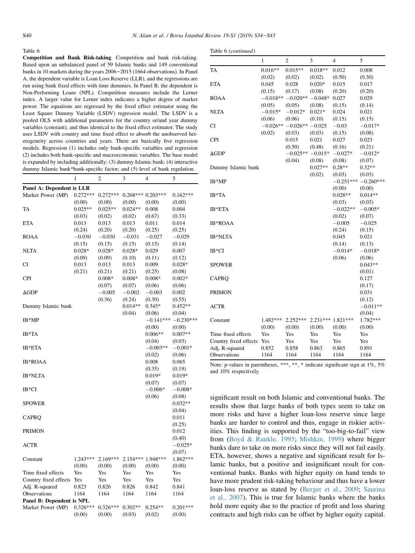Table 6 (continued)

#### <span id="page-7-0"></span>Table 6

Competition and Bank Risk-taking. Competition and bank risk-taking. Based upon an unbalanced panel of 59 Islamic banks and 149 conventional banks in 10 markets during the years  $2006 - 2015$  (1664 observations). In Panel A, the dependent variable is Loan Loss Reserve (LLR), and the regressions are run using bank fixed effects with time dummies. In Panel B, the dependent is Non-Performing Loans (NPL). Competition measures include the Lerner index. A larger value for Lerner index indicates a higher degree of market power. The equations are regressed by the fixed effect estimator using the Least Square Dummy Variable (LSDV) regression model. The LSDV is a pooled OLS with additional parameters for the country or/and year dummy variables (constant), and thus identical to the fixed effect estimator. The study uses LSDV with country and time fixed effect to absorb the unobserved heterogeneity across countries and years. There are basically five regression models. Regression (1) includes only bank-specific variables and regression (2) includes both bank-specific and macroeconomic variables. The base model is expanded by including additionally: (3) dummy Islamic bank; (4) interactive dummy Islamic bank\*bank-specific factor; and (5) level of bank regulation.

|                           | 1          | 2          | 3          | 4                  | 5           |
|---------------------------|------------|------------|------------|--------------------|-------------|
| Panel A: Dependent is LLR |            |            |            |                    |             |
| Market Power (MP)         | $0.272***$ | $0.272***$ |            | $0.268***0.203***$ | $0.162***$  |
|                           | (0.00)     | (0.00)     | (0.00)     | (0.00)             | (0.00)      |
| TA                        | $0.025**$  | $0.025**$  | $0.024**$  | 0.008              | 0.004       |
|                           | (0.03)     | (0.02)     | (0.02)     | (0.67)             | (0.33)      |
| <b>ETA</b>                | 0.013      | 0.013      | 0.013      | 0.011              | 0.014       |
|                           | (0.24)     | (0.20)     | (0.20)     | (0.25)             | (0.25)      |
| <b>ROAA</b>               | $-0.030$   | $-0.030$   | $-0.031$   | $-0.027$           | $-0.029$    |
|                           | (0.15)     | (0.15)     | (0.15)     | (0.15)             | (0.14)      |
| <b>NLTA</b>               | $0.028*$   | $0.028*$   | $0.028*$   | 0.029              | 0.007       |
|                           | (0.09)     | (0.09)     | (0.10)     | (0.11)             | (0.12)      |
| CI                        | 0.013      | 0.013      | 0.013      | 0.009              | $0.028*$    |
|                           | (0.21)     | (0.21)     | (0.21)     | (0.25)             | (0.08)      |
| <b>CPI</b>                |            | $0.008*$   | $0.008*$   | $0.008*$           | $0.002*$    |
|                           |            | (0.07)     | (0.07)     | (0.06)             | (0.06)      |
| $\Delta {\rm GDP}$        |            | $-0.005$   | $-0.002$   | $-0.003$           | 0.002       |
|                           |            | (0.36)     | (0.24)     | (0.30)             | (0.55)      |
| Dummy Islamic bank        |            |            | $0.014**$  | $0.345*$           | $0.452**$   |
|                           |            |            | (0.04)     | (0.06)             | (0.04)      |
| IB*MP                     |            |            |            | $-0.141***$        | $-0.230***$ |
|                           |            |            |            | (0.00)             | (0.00)      |
| IB*TA                     |            |            |            | $0.006**$          | $0.007**$   |
|                           |            |            |            | (0.04)             | (0.03)      |
| IB*ETA                    |            |            |            | $-0.003**$         | $-0.001*$   |
|                           |            |            |            | (0.02)             | (0.06)      |
| IB*ROAA                   |            |            |            | 0.008              | 0.065       |
|                           |            |            |            | (0.35)             | (0.19)      |
| <b>IB*NLTA</b>            |            |            |            | $0.019*$           | $0.019*$    |
|                           |            |            |            | (0.07)             | (0.07)      |
| IB*CI                     |            |            |            | $-0.006*$          | $-0.008*$   |
|                           |            |            |            | (0.06)             | (0.08)      |
| <b>SPOWER</b>             |            |            |            |                    | $0.032**$   |
|                           |            |            |            |                    | (0.04)      |
| <b>CAPRQ</b>              |            |            |            |                    | 0.011       |
|                           |            |            |            |                    | (0.25)      |
| <b>PRIMON</b>             |            |            |            |                    | 0.012       |
|                           |            |            |            |                    | (0.40)      |
| ACTR                      |            |            |            |                    | $-0.025*$   |
|                           |            |            |            |                    | (0.07)      |
| Constant                  | $1.243***$ | $2.169***$ | $2.154***$ | 1.948***           | 1.862***    |
|                           | (0.00)     | (0.00)     | (0.00)     | (0.00)             | (0.00)      |
| Time fixed effects        | Yes        | Yes        | Yes        | Yes                | Yes         |
| Country fixed effects     | Yes        | Yes        | Yes        | Yes                | Yes         |
| Adj. R-squared            | 0.823      | 0.826      | 0.826      | 0.842              | 0.841       |
| Observations              | 1164       | 1164       | 1164       | 1164               | 1164        |
| Panel B: Dependent is NPL |            |            |            |                    |             |
| Market Power (MP)         | $0.326***$ | $0.326***$ | $0.302**$  | $0.254**$          | $0.201***$  |
|                           | (0.00)     | (0.00)     | (0.03)     | (0.02)             | (0.00)      |
|                           |            |            |            |                    |             |

|                       | 1          | $\overline{c}$ | 3          | $\overline{4}$ | 5           |
|-----------------------|------------|----------------|------------|----------------|-------------|
| TA                    | $0.016**$  | $0.015**$      | $0.018**$  | 0.012          | 0.008       |
|                       | (0.02)     | (0.02)         | (0.02)     | (0.50)         | (0.30)      |
| <b>ETA</b>            | 0.045      | 0.028          | $0.020*$   | 0.015          | 0.017       |
|                       | (0.15)     | (0.17)         | (0.08)     | (0.20)         | (0.20)      |
| <b>ROAA</b>           | $-0.018**$ | $-0.020**$     | $-0.048*$  | 0.027          | 0.029       |
|                       | (0.05)     | (0.05)         | (0.08)     | (0.15)         | (0.14)      |
| <b>NLTA</b>           | $-0.015*$  | $-0.012*$      | $0.021*$   | 0.024          | 0.021       |
|                       | (0.06)     | (0.06)         | (0.10)     | (0.15)         | (0.15)      |
| <b>CI</b>             | $-0.026**$ | $-0.026**$     | $-0.025$   | $-0.03$        | $-0.017*$   |
|                       | (0.02)     | (0.03)         | (0.03)     | (0.15)         | (0.08)      |
| <b>CPI</b>            |            | 0.015          | 0.021      | 0.027          | 0.023       |
|                       |            | (0.50)         | (0.48)     | (0.16)         | (0.21)      |
| $\Delta GDP$          |            | $-0.025**$     | $-0.015*$  | $-0.027*$      | $-0.012*$   |
|                       |            | (0.04)         | (0.08)     | (0.08)         | (0.07)      |
| Dummy Islamic bank    |            |                | $0.027**$  | $0.28**$       | $0.32**$    |
|                       |            |                | (0.02)     | (0.03)         | (0.03)      |
| $IB*MP$               |            |                |            | $-0.251***$    | $-0.260***$ |
|                       |            |                |            | (0.00)         | (0.00)      |
| IB*TA                 |            |                |            | $0.028**$      | $0.014**$   |
|                       |            |                |            | (0.03)         | (0.03)      |
| IB*ETA                |            |                |            | $-0.022**$     | $-0.005*$   |
|                       |            |                |            | (0.02)         | (0.07)      |
| IB*ROAA               |            |                |            | $-0.005$       | $-0.025$    |
|                       |            |                |            | (0.24)         | (0.15)      |
| <b>IB*NLTA</b>        |            |                |            | 0.045          | 0.021       |
|                       |            |                |            | (0.14)         | (0.13)      |
| $IB*CI$               |            |                |            | $-0.014*$      | $-0.018*$   |
|                       |            |                |            | (0.06)         | (0.06)      |
| <b>SPOWER</b>         |            |                |            |                | $0.043**$   |
|                       |            |                |            |                | (0.01)      |
| <b>CAPRQ</b>          |            |                |            |                | 0.127       |
|                       |            |                |            |                | (0.17)      |
| <b>PRIMON</b>         |            |                |            |                | 0.031       |
|                       |            |                |            |                | (0.12)      |
| ACTR                  |            |                |            |                | $-0.011**$  |
|                       |            |                |            |                | (0.04)      |
| Constant              | 1.482***   | $2.252***$     | $2.231***$ | $1.821***$     | 1.782***    |
|                       | (0.00)     | (0.00)         | (0.00)     | (0.00)         | (0.00)      |
| Time fixed effects    | Yes        | Yes            | Yes        | Yes            | Yes         |
| Country fixed effects | Yes        | Yes            | Yes        | Yes            | Yes         |
| Adj. R-squared        | 0.852      | 0.858          | 0.863      | 0.865          | 0.891       |
| Observations          | 1164       | 1164           | 1164       | 1164           | 1164        |

Note: p-values in parentheses, \*\*\*, \*\*, \* indicate significant sign at 1%, 5% and 10% respectively.

significant result on both Islamic and conventional banks. The results show that large banks of both types seem to take on more risks and have a higher loan-loss reserve since large banks are harder to control and thus, engage in riskier activif in the risks and nave a fingler foan-loss reserve since large<br>banks are harder to control and thus, engage in riskier activ-<br>ities. This finding is supported by the "too-big-to-fail" view from ([Boyd](#page-9-0) & [Runkle, 1993](#page-9-0); [Mishkin, 1999\)](#page-10-0) where bigger banks dare to take on more risks since they will not fail easily. ETA, however, shows a negative and significant result for Islamic banks, but a positive and insignificant result for conventional banks. Banks with higher equity on hand tends to have more prudent risk-taking behaviour and thus have a lower loan-loss reserve as stated by [\(Berger et al., 2009;](#page-9-0) [Saurina](#page-10-0) [et al., 2007\)](#page-10-0). This is true for Islamic banks where the banks hold more equity due to the practice of profit and loss sharing contracts and high risks can be offset by higher equity capital.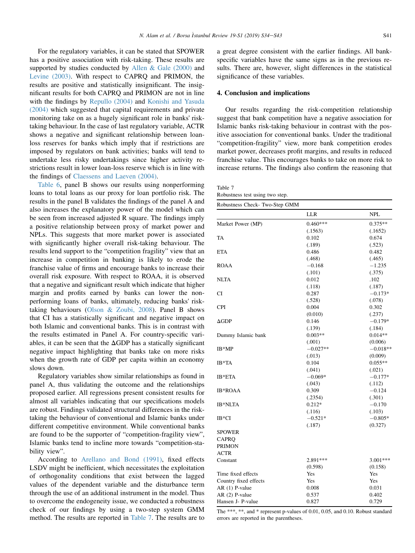For the regulatory variables, it can be stated that SPOWER has a positive association with risk-taking. These results are supported by studies conducted by [Allen](#page-9-0) & [Gale \(2000\)](#page-9-0) and [Levine \(2003\)](#page-9-0). With respect to CAPRQ and PRIMON, the results are positive and statistically insignificant. The insignificant results for both CAPRQ and PRIMON are not in line with the findings by [Repullo \(2004\)](#page-10-0) and [Konishi and Yasuda](#page-9-0) [\(2004\)](#page-9-0) which suggested that capital requirements and private monitoring take on as a hugely significant role in banks' risktaking behaviour. In the case of last regulatory variable, ACTR shows a negative and significant relationship between loanloss reserves for banks which imply that if restrictions are imposed by regulators on bank activities; banks will tend to undertake less risky undertakings since higher activity restrictions result in lower loan-loss reserve which is in line with the findings of [Claessens and Laeven \(2004\).](#page-9-0)

[Table 6](#page-7-0), panel B shows our results using nonperforming loans to total loans as our proxy for loan portfolio risk. The results in the panel B validates the findings of the panel A and also increases the explanatory power of the model which can be seen from increased adjusted R square. The findings imply a positive relationship between proxy of market power and NPLs. This suggests that more market power is associated with significantly higher overall risk-taking behaviour. The results lend support to the "competition fragility" view that an increase in competition in banking is likely to erode the franchise value of firms and encourage banks to increase their overall risk exposure. With respect to ROAA, it is observed that a negative and significant result which indicate that higher margin and profits earned by banks can lower the nonperforming loans of banks, ultimately, reducing banks' risktaking behaviours [\(Olson](#page-10-0) & [Zoubi, 2008\)](#page-10-0). Panel B shows that CI has a statistically significant and negative impact on both Islamic and conventional banks. This is in contrast with the results estimated in Panel A. For country-specific variables, it can be seen that the  $\Delta$ GDP has a statically significant negative impact highlighting that banks take on more risks when the growth rate of GDP per capita within an economy slows down.

Regulatory variables show similar relationships as found in panel A, thus validating the outcome and the relationships proposed earlier. All regressions present consistent results for almost all variables indicating that our specifications models are robust. Findings validated structural differences in the risktaking the behaviour of conventional and Islamic banks under different competitive environment. While conventional banks aking the behaviour of conventional and islamic banks under<br>different competitive environment. While conventional banks<br>are found to be the supporter of "competition-fragility view", Interent competitive environment. While conventional banks<br>are found to be the supporter of "competition-fragility view",<br>Islamic banks tend to incline more towards "competition-staare round to<br>Islamic bank<br>bility view".

According to [Arellano and Bond \(1991\),](#page-9-0) fixed effects LSDV might be inefficient, which necessitates the exploitation of orthogonality conditions that exist between the lagged values of the dependent variable and the disturbance term through the use of an additional instrument in the model. Thus to overcome the endogeneity issue, we conducted a robustness check of our findings by using a two-step system GMM method. The results are reported in Table 7. The results are to a great degree consistent with the earlier findings. All bankspecific variables have the same signs as in the previous results. There are, however, slight differences in the statistical significance of these variables.

#### 4. Conclusion and implications

Our results regarding the risk-competition relationship suggest that bank competition have a negative association for Islamic banks risk-taking behaviour in contrast with the pos-"itive association for conventional banks. Under the traditional competition-fragility" view, more bank competition erodes market power, decreases profit margins, and results in reduced franchise value. This encourages banks to take on more risk to increase returns. The findings also confirm the reasoning that

| Table<br>× |  |
|------------|--|
|------------|--|

Robustness test using two step.

| Robustness Check- Two-Step GMM |            |            |
|--------------------------------|------------|------------|
|                                | <b>LLR</b> | <b>NPL</b> |
| Market Power (MP)              | $0.460***$ | $0.375**$  |
|                                | (.1563)    | (.1652)    |
| TA                             | 0.102      | 0.674      |
|                                | (.189)     | (.523)     |
| <b>ETA</b>                     | 0.486      | 0.482      |
|                                | (.468)     | (.465)     |
| <b>ROAA</b>                    | $-0.168$   | $-1.235$   |
|                                | (.101)     | (.375)     |
| <b>NLTA</b>                    | 0.012      | .102       |
|                                | (.118)     | (.187)     |
| <b>CI</b>                      | 0.287      | $-0.173*$  |
|                                | (.528)     | (.078)     |
| <b>CPI</b>                     | 0.004      | 0.302      |
|                                | (0.010)    | (.237)     |
| $\triangle$ GDP                | 0.146      | $-0.179*$  |
|                                | (.139)     | (.184)     |
| Dummy Islamic bank             | $0.003**$  | $0.014**$  |
|                                | (.001)     | (0.006)    |
| IB*MP                          | $-0.027**$ | $-0.018**$ |
|                                | (.013)     | (0.009)    |
| IB*TA                          | 0.104      | $0.055**$  |
|                                | (.041)     | (.021)     |
| IB*ETA                         | $-0.069*$  | $-0.177*$  |
|                                | (.043)     | (.112)     |
| IB*ROAA                        | 0.309      | $-0.124$   |
|                                | (.2354)    | (.301)     |
| <b>IB*NLTA</b>                 | $0.212*$   | $-0.170$   |
|                                | (.116)     | (.103)     |
| IB*CI                          | $-0.521*$  | $-0.805*$  |
|                                | (.187)     | (0.327)    |
| <b>SPOWER</b>                  |            |            |
| <b>CAPRO</b>                   |            |            |
| <b>PRIMON</b>                  |            |            |
| <b>ACTR</b>                    |            |            |
| Constant                       | 2.891 ***  | 3.001***   |
|                                | (0.598)    | (0.158)    |
| Time fixed effects             | Yes        | Yes        |
| Country fixed effects          | Yes        | Yes        |
| AR (1) P-value                 | 0.008      | 0.031      |
| AR (2) P-value                 | 0.537      | 0.402      |
| Hansen J- P-value              | 0.827      | 0.729      |

The \*\*\*, \*\*, and \* represent p-values of 0.01, 0.05, and 0.10. Robust standard errors are reported in the parentheses.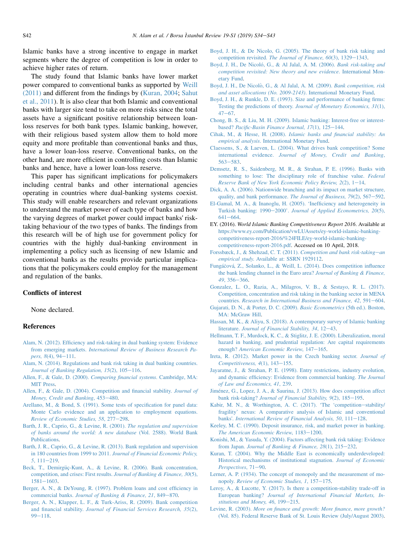<span id="page-9-0"></span>Islamic banks have a strong incentive to engage in market segments where the degree of competition is low in order to achieve higher rates of return.

The study found that Islamic banks have lower market power compared to conventional banks as supported by [Weill](#page-10-0) [\(2011\)](#page-10-0) and different from the findings by (Kuran, 2004; [Sahut](#page-10-0) [et al., 2011](#page-10-0)). It is also clear that both Islamic and conventional banks with larger size tend to take on more risks since the total assets have a significant positive relationship between loanloss reserves for both bank types. Islamic banking, however, with their religious based system allow them to hold more equity and more profitable than conventional banks and thus, have a lower loan-loss reserve. Conventional banks, on the other hand, are more efficient in controlling costs than Islamic banks and hence, have a lower loan-loss reserve.

This paper has significant implications for policymakers including central banks and other international agencies operating in countries where dual-banking systems coexist. This study will enable researchers and relevant organizations to understand the market power of each type of banks and how the varying degrees of market power could impact banks' risktaking behaviour of the two types of banks. The findings from this research will be of high use for government policy for countries with the highly dual-banking environment in implementing a policy such as licensing of new Islamic and conventional banks as the results provide particular implications that the policymakers could employ for the management and regulation of the banks.

#### Conflicts of interest

None declared.

#### References

- [Alam, N. \(2012\). Efficiency and risk-taking in dual banking system: Evidence](http://refhub.elsevier.com/S2214-8450(18)30138-8/sref1) from emerging markets. [International Review of Business Research Pa](http://refhub.elsevier.com/S2214-8450(18)30138-8/sref1)pers,  $8(4)$ ,  $94-111$ .
- [Alam, N. \(2014\). Regulations and bank risk taking in dual banking countries.](http://refhub.elsevier.com/S2214-8450(18)30138-8/sref2) Journal of Banking Regulation,  $15(2)$ ,  $105-116$  $105-116$ .
- Allen, F., & Gale, D. (2000). [Comparing financial systems](http://refhub.elsevier.com/S2214-8450(18)30138-8/sref69). Cambridge, MA: **MIT Press**
- [Allen, F., & Gale, D. \(2004\). Competition and financial stability.](http://refhub.elsevier.com/S2214-8450(18)30138-8/sref3) Journal of [Money, Credit and Banking](http://refhub.elsevier.com/S2214-8450(18)30138-8/sref3), 453-[480.](http://refhub.elsevier.com/S2214-8450(18)30138-8/sref3)
- [Arellano, M., & Bond, S. \(1991\). Some tests of specification for panel data:](http://refhub.elsevier.com/S2214-8450(18)30138-8/sref73) [Monte Carlo evidence and an application to employment equations.](http://refhub.elsevier.com/S2214-8450(18)30138-8/sref73) [Review of Economic Studies, 58](http://refhub.elsevier.com/S2214-8450(18)30138-8/sref73), 277-[298.](http://refhub.elsevier.com/S2214-8450(18)30138-8/sref73)
- [Barth, J. R., Caprio, G., & Levine, R. \(2001\).](http://refhub.elsevier.com/S2214-8450(18)30138-8/sref4) The regulation and supervision [of banks around the world: A new database](http://refhub.elsevier.com/S2214-8450(18)30138-8/sref4) (Vol. 2588). World Bank [Publications](http://refhub.elsevier.com/S2214-8450(18)30138-8/sref4).
- [Barth, J. R., Caprio, G., & Levine, R. \(2013\). Bank regulation and supervision](http://refhub.elsevier.com/S2214-8450(18)30138-8/sref5) in 180 countries from 1999 to 2011. [Journal of Financial Economic Policy,](http://refhub.elsevier.com/S2214-8450(18)30138-8/sref5)  $5, 111 - 219.$  $5, 111 - 219.$  $5, 111 - 219.$  $5, 111 - 219.$  $5, 111 - 219.$
- Beck, T., Demirgüç[-Kunt, A., & Levine, R. \(2006\). Bank concentration,](http://refhub.elsevier.com/S2214-8450(18)30138-8/sref6) [competition, and crises: First results.](http://refhub.elsevier.com/S2214-8450(18)30138-8/sref6) Journal of Banking & [Finance, 30](http://refhub.elsevier.com/S2214-8450(18)30138-8/sref6)(5),  $1581 - 1603$  $1581 - 1603$  $1581 - 1603$ .
- [Berger, A. N., & DeYoung, R. \(1997\). Problem loans and cost efficiency in](http://refhub.elsevier.com/S2214-8450(18)30138-8/sref7) commercial banks. [Journal of Banking](http://refhub.elsevier.com/S2214-8450(18)30138-8/sref7) & [Finance, 21](http://refhub.elsevier.com/S2214-8450(18)30138-8/sref7), 849-[870](http://refhub.elsevier.com/S2214-8450(18)30138-8/sref7).
- [Berger, A. N., Klapper, L. F., & Turk-Ariss, R. \(2009\). Bank competition](http://refhub.elsevier.com/S2214-8450(18)30138-8/sref8) and financial stability. [Journal of Financial Services Research, 35](http://refhub.elsevier.com/S2214-8450(18)30138-8/sref8)(2),  $99 - 118.$  $99 - 118.$  $99 - 118.$  $99 - 118.$
- [Boyd, J. H., & De Nicolo, G. \(2005\). The theory of bank risk taking and](http://refhub.elsevier.com/S2214-8450(18)30138-8/sref11) competition revisited. The Journal of Finance,  $60(3)$ , 1329-[1343](http://refhub.elsevier.com/S2214-8450(18)30138-8/sref11).
- [Boyd, J. H., De Nicol](http://refhub.elsevier.com/S2214-8450(18)30138-8/sref12)ó, G., & Al Jalal, A. M. (2006). Bank risk-taking and [competition revisited: New theory and new evidence](http://refhub.elsevier.com/S2214-8450(18)30138-8/sref12). International Mon[etary Fund.](http://refhub.elsevier.com/S2214-8450(18)30138-8/sref12)
- [Boyd, J. H., De Nicol](http://refhub.elsevier.com/S2214-8450(18)30138-8/sref13)ò[, G., & Al Jalal, A. M. \(2009\).](http://refhub.elsevier.com/S2214-8450(18)30138-8/sref13) Bank competition, risk [and asset allocations \(No. 2009-2143\)](http://refhub.elsevier.com/S2214-8450(18)30138-8/sref13). International Monetary Fund.
- [Boyd, J. H., & Runkle, D. E. \(1993\). Size and performance of banking firms:](http://refhub.elsevier.com/S2214-8450(18)30138-8/sref14) Testing the predictions of theory. [Journal of Monetary Economics, 31](http://refhub.elsevier.com/S2214-8450(18)30138-8/sref14)(1),  $47 - 67$  $47 - 67$ .
- [Chong, B. S., & Liu, M. H. \(2009\). Islamic banking: Interest-free or interest](http://refhub.elsevier.com/S2214-8450(18)30138-8/sref18)based? Pacific-Basin Finance Journal,  $17(1)$ ,  $125-144$  $125-144$ .
- Cihak, M., & Hesse, H. (2008). [Islamic banks and financial stability: An](http://refhub.elsevier.com/S2214-8450(18)30138-8/sref19) empirical analysis[. International Monetary Fund.](http://refhub.elsevier.com/S2214-8450(18)30138-8/sref19)
- [Claessens, S., & Laeven, L. \(2004\). What drives bank competition? Some](http://refhub.elsevier.com/S2214-8450(18)30138-8/sref21) international evidence. [Journal of Money, Credit and Banking](http://refhub.elsevier.com/S2214-8450(18)30138-8/sref21),  $563 - 583.$  $563 - 583.$  $563 - 583.$  $563 - 583.$
- [Demsetz, R. S., Saidenberg, M. R., & Strahan, P. E. \(1996\). Banks with](http://refhub.elsevier.com/S2214-8450(18)30138-8/sref23) [something to lose: The disciplinary role of franchise value.](http://refhub.elsevier.com/S2214-8450(18)30138-8/sref23) Federal Reserve Bank of New York Economic Policy Review,  $2(2)$ ,  $1-14$ .
- [Dick, A. A. \(2006\). Nationwide branching and its impact on market structure,](http://refhub.elsevier.com/S2214-8450(18)30138-8/sref25) [quality, and bank performance.](http://refhub.elsevier.com/S2214-8450(18)30138-8/sref25) The Journal of Business, 79(2), 567-[592.](http://refhub.elsevier.com/S2214-8450(18)30138-8/sref25)
- quanty, and bank performance. The Journal of Dusiness, 19(2), 301–392.<br>[El-Gamal, M. A., & Inanoglu, H. \(2005\). 'Inefficiency and heterogeneity in](http://refhub.elsevier.com/S2214-8450(18)30138-8/sref26)<br>[Turkish banking: 1990](http://refhub.elsevier.com/S2214-8450(18)30138-8/sref26)–2000'. [Journal of Applied Econometrics, 20](http://refhub.elsevier.com/S2214-8450(18)30138-8/sref26)(5),  $641 - 664.$  $641 - 664.$  $641 - 664.$  $641 - 664.$
- EY. (2016). World Islamic Banking Competitiveness Report 2016. Available at [https://www.ey.com/Publication/vwLUAssets/ey-world-islamic-banking](https://www.ey.com/Publication/vwLUAssets/ey-world-islamic-banking-competitiveness-report-2016/%24FILE/ey-world-islamic-banking-competitiveness-report-2016.pdf)[competitiveness-report-2016/%24FILE/ey-world-islamic-banking](https://www.ey.com/Publication/vwLUAssets/ey-world-islamic-banking-competitiveness-report-2016/%24FILE/ey-world-islamic-banking-competitiveness-report-2016.pdf)[competitiveness-report-2016.pdf.](https://www.ey.com/Publication/vwLUAssets/ey-world-islamic-banking-competitiveness-report-2016/%24FILE/ey-world-islamic-banking-competitiveness-report-2016.pdf) Accessed on 10 April, 2018.
- Forssbæck, J., & Shehzad, C. T. (2011). [Competition and bank risk-taking](http://refhub.elsevier.com/S2214-8450(18)30138-8/sref27)-[an](http://refhub.elsevier.com/S2214-8450(18)30138-8/sref27) empirical study[. Available at: SSRN 1929112.](http://refhub.elsevier.com/S2214-8450(18)30138-8/sref27)
- [Fung](http://refhub.elsevier.com/S2214-8450(18)30138-8/sref28)áčová[, Z., Solanko, L., & Weill, L. \(2014\). Does competition influence](http://refhub.elsevier.com/S2214-8450(18)30138-8/sref28) [the bank lending channel in the Euro area?](http://refhub.elsevier.com/S2214-8450(18)30138-8/sref28) Journal of Banking & [Finance,](http://refhub.elsevier.com/S2214-8450(18)30138-8/sref28)  $49.356 - 366.$  $49.356 - 366.$  $49.356 - 366.$
- [Gonzalez, L. O., Razia, A., Milagros, V. B., & Sestayo, R. L. \(2017\).](http://refhub.elsevier.com/S2214-8450(18)30138-8/sref30) [Competition, concentration and risk taking in the banking sector in MENA](http://refhub.elsevier.com/S2214-8450(18)30138-8/sref30) countries. [Research in International Business and Finance, 42](http://refhub.elsevier.com/S2214-8450(18)30138-8/sref30), 591-[604.](http://refhub.elsevier.com/S2214-8450(18)30138-8/sref30)
- [Gujarati, D. N., & Porter, D. C. \(2009\).](http://refhub.elsevier.com/S2214-8450(18)30138-8/sref68) Basic Econometrics (5th ed.). Boston, [MA: McGraw Hill.](http://refhub.elsevier.com/S2214-8450(18)30138-8/sref68)
- [Hassan, M. K., & Aliyu, S. \(2018\). A contemporary survey of Islamic banking](http://refhub.elsevier.com/S2214-8450(18)30138-8/sref32) literature. [Journal of Financial Stability, 34](http://refhub.elsevier.com/S2214-8450(18)30138-8/sref32), 12-[43](http://refhub.elsevier.com/S2214-8450(18)30138-8/sref32).
- [Hellmann, T. F., Murdock, K. C., & Stiglitz, J. E. \(2000\). Liberalization, moral](http://refhub.elsevier.com/S2214-8450(18)30138-8/sref33) [hazard in banking, and prudential regulation: Are capital requirements](http://refhub.elsevier.com/S2214-8450(18)30138-8/sref33) enough? [American Economic Review](http://refhub.elsevier.com/S2214-8450(18)30138-8/sref33), 147-[165](http://refhub.elsevier.com/S2214-8450(18)30138-8/sref33).
- [Ireta, R. \(2012\). Market power in the Czech banking sector.](http://refhub.elsevier.com/S2214-8450(18)30138-8/sref35) Journal of Competitiveness,  $4(1)$ ,  $143-155$  $143-155$ .
- [Jayaratne, J., & Strahan, P. E. \(1998\). Entry restrictions, industry evolution,](http://refhub.elsevier.com/S2214-8450(18)30138-8/sref36) [and dynamic efficiency: Evidence from commercial banking.](http://refhub.elsevier.com/S2214-8450(18)30138-8/sref36) The Journal [of Law and Economics, 41](http://refhub.elsevier.com/S2214-8450(18)30138-8/sref36), 239.
- [Jim](http://refhub.elsevier.com/S2214-8450(18)30138-8/sref37)é[nez, G., Lopez, J. A., & Saurina, J. \(2013\). How does competition affect](http://refhub.elsevier.com/S2214-8450(18)30138-8/sref37) bank risk-taking? [Journal of Financial Stability, 9](http://refhub.elsevier.com/S2214-8450(18)30138-8/sref37)(2), 185-[195.](http://refhub.elsevier.com/S2214-8450(18)30138-8/sref37)
- [Kabir, M. N., & Worthington, A. C. \(2017\). 'The 'competition](http://refhub.elsevier.com/S2214-8450(18)30138-8/sref38)-[stability/](http://refhub.elsevier.com/S2214-8450(18)30138-8/sref38) fragility' [nexus: A comparative analysis of Islamic and conventional](http://refhub.elsevier.com/S2214-8450(18)30138-8/sref38) banks'. [International Review of Financial Analysis, 50](http://refhub.elsevier.com/S2214-8450(18)30138-8/sref38), 111-[128.](http://refhub.elsevier.com/S2214-8450(18)30138-8/sref38)
- [Keeley, M. C. \(1990\). Deposit insurance, risk, and market power in banking.](http://refhub.elsevier.com/S2214-8450(18)30138-8/sref39) [The American Economic Review](http://refhub.elsevier.com/S2214-8450(18)30138-8/sref39), 1183-[1200](http://refhub.elsevier.com/S2214-8450(18)30138-8/sref39).
- [Konishi, M., & Yasuda, Y. \(2004\). Factors affecting bank risk taking: Evidence](http://refhub.elsevier.com/S2214-8450(18)30138-8/sref40) from Japan. [Journal of Banking](http://refhub.elsevier.com/S2214-8450(18)30138-8/sref40) & Finance,  $28(1)$ ,  $215-232$ .
- [Kuran, T. \(2004\). Why the Middle East is economically underdeveloped:](http://refhub.elsevier.com/S2214-8450(18)30138-8/sref41) [Historical mechanisms of institutional stagnation.](http://refhub.elsevier.com/S2214-8450(18)30138-8/sref41) Journal of Economic [Perspectives](http://refhub.elsevier.com/S2214-8450(18)30138-8/sref41), 71-[90.](http://refhub.elsevier.com/S2214-8450(18)30138-8/sref41)
- [Lerner, A. P. \(1934\). The concept of monopoly and the measurement of mo](http://refhub.elsevier.com/S2214-8450(18)30138-8/sref71)nopoly. Review of Economic Studies,  $1, 157-175$ .
- [Leroy, A., & Lucotte, Y. \(2017\). Is there a competition-stability trade-off in](http://refhub.elsevier.com/S2214-8450(18)30138-8/sref42) European banking? [Journal of International Financial Markets, In](http://refhub.elsevier.com/S2214-8450(18)30138-8/sref42)[stitutions and Money, 46](http://refhub.elsevier.com/S2214-8450(18)30138-8/sref42), 199-[215](http://refhub.elsevier.com/S2214-8450(18)30138-8/sref42).
- Levine, R. (2003). [More on finance and growth: More finance, more growth?](http://refhub.elsevier.com/S2214-8450(18)30138-8/sref43) [\(Vol. 85\). Federal Reserve Bank of St. Louis Review \(July/August 2003\).](http://refhub.elsevier.com/S2214-8450(18)30138-8/sref43)